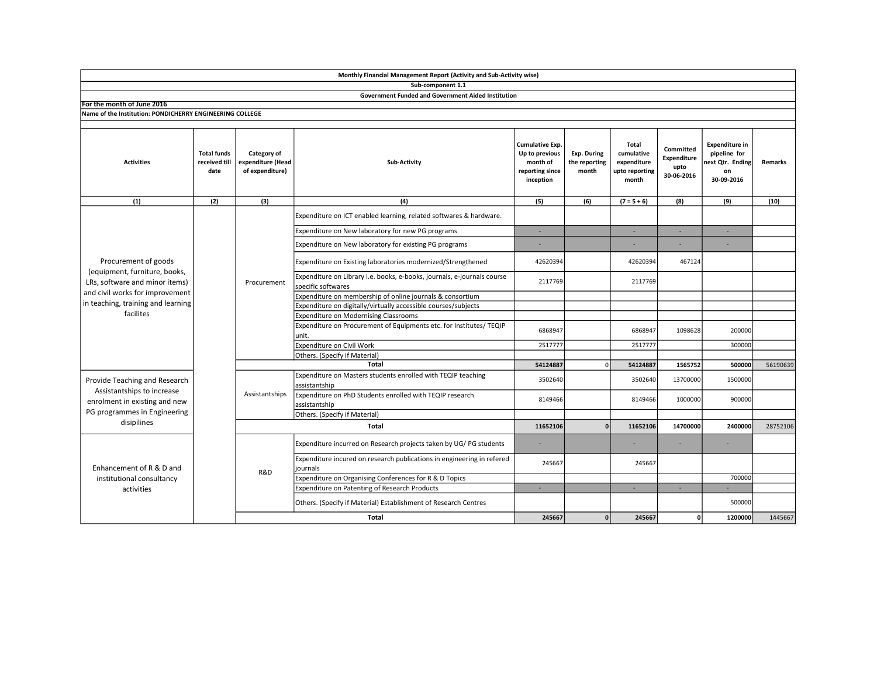|                                                                                                                                                                               |                                             |                                                     | Monthly Financial Management Report (Activity and Sub-Activity wise)                          |                                                                               |                                       |                                                               |                                                |                                                                              |          |
|-------------------------------------------------------------------------------------------------------------------------------------------------------------------------------|---------------------------------------------|-----------------------------------------------------|-----------------------------------------------------------------------------------------------|-------------------------------------------------------------------------------|---------------------------------------|---------------------------------------------------------------|------------------------------------------------|------------------------------------------------------------------------------|----------|
|                                                                                                                                                                               |                                             |                                                     | Sub-component 1.1                                                                             |                                                                               |                                       |                                                               |                                                |                                                                              |          |
|                                                                                                                                                                               |                                             |                                                     | <b>Government Funded and Government Aided Institution</b>                                     |                                                                               |                                       |                                                               |                                                |                                                                              |          |
| For the month of June 2016                                                                                                                                                    |                                             |                                                     |                                                                                               |                                                                               |                                       |                                                               |                                                |                                                                              |          |
| Name of the Institution: PONDICHERRY ENGINEERING COLLEGE                                                                                                                      |                                             |                                                     |                                                                                               |                                                                               |                                       |                                                               |                                                |                                                                              |          |
| <b>Activities</b>                                                                                                                                                             | <b>Total funds</b><br>received till<br>date | Category of<br>expenditure (Head<br>of expenditure) | Sub-Activity                                                                                  | Cumulative Exp.<br>Up to previous<br>month of<br>reporting since<br>inception | Exp. During<br>the reporting<br>month | Total<br>cumulative<br>expenditure<br>upto reporting<br>month | Committed<br>Expenditure<br>upto<br>30-06-2016 | <b>Expenditure in</b><br>pipeline for<br>ext Qtr. Ending<br>on<br>30-09-2016 | Remarks  |
| (1)                                                                                                                                                                           | (2)                                         | (3)                                                 | (4)                                                                                           | (5)                                                                           | (6)                                   | $(7 = 5 + 6)$                                                 | (8)                                            | (9)                                                                          | (10)     |
| Procurement of goods<br>(equipment, furniture, books,<br>LRs, software and minor items)<br>and civil works for improvement<br>in teaching, training and learning<br>facilites |                                             | Procurement                                         | Expenditure on ICT enabled learning, related softwares & hardware.                            |                                                                               |                                       |                                                               |                                                |                                                                              |          |
|                                                                                                                                                                               |                                             |                                                     | Expenditure on New laboratory for new PG programs                                             | ÷.                                                                            |                                       | ×.                                                            | ×.                                             | ×.                                                                           |          |
|                                                                                                                                                                               |                                             |                                                     | Expenditure on New laboratory for existing PG programs                                        |                                                                               |                                       |                                                               |                                                |                                                                              |          |
|                                                                                                                                                                               |                                             |                                                     | Expenditure on Existing laboratories modernized/Strengthened                                  | 42620394                                                                      |                                       | 42620394                                                      | 467124                                         |                                                                              |          |
|                                                                                                                                                                               |                                             |                                                     | Expenditure on Library i.e. books, e-books, journals, e-journals course<br>specific softwares | 2117769                                                                       |                                       | 2117769                                                       |                                                |                                                                              |          |
|                                                                                                                                                                               |                                             |                                                     | Expenditure on membership of online journals & consortium                                     |                                                                               |                                       |                                                               |                                                |                                                                              |          |
|                                                                                                                                                                               |                                             |                                                     | Expenditure on digitally/virtually accessible courses/subjects                                |                                                                               |                                       |                                                               |                                                |                                                                              |          |
|                                                                                                                                                                               |                                             |                                                     | <b>Expenditure on Modernising Classrooms</b>                                                  |                                                                               |                                       |                                                               |                                                |                                                                              |          |
|                                                                                                                                                                               |                                             |                                                     | Expenditure on Procurement of Equipments etc. for Institutes/ TEQIP<br>unit.                  | 6868947                                                                       |                                       | 6868947                                                       | 1098628                                        | 200000                                                                       |          |
|                                                                                                                                                                               |                                             |                                                     | Expenditure on Civil Work                                                                     | 2517777                                                                       |                                       | 2517777                                                       |                                                | 300000                                                                       |          |
|                                                                                                                                                                               |                                             |                                                     | Others. (Specify if Material)                                                                 |                                                                               |                                       |                                                               |                                                |                                                                              |          |
|                                                                                                                                                                               |                                             |                                                     | <b>Total</b>                                                                                  | 54124887                                                                      | $\Omega$                              | 54124887                                                      | 1565752                                        | 500000                                                                       | 56190639 |
| Provide Teaching and Research<br>Assistantships to increase<br>enrolment in existing and new<br>PG programmes in Engineering<br>disipilines                                   |                                             | Assistantships                                      | Expenditure on Masters students enrolled with TEQIP teaching<br>assistantship                 | 3502640                                                                       |                                       | 3502640                                                       | 13700000                                       | 1500000                                                                      |          |
|                                                                                                                                                                               |                                             |                                                     | Expenditure on PhD Students enrolled with TEQIP research<br>assistantship                     | 8149466                                                                       |                                       | 8149466                                                       | 1000000                                        | 900000                                                                       |          |
|                                                                                                                                                                               |                                             |                                                     | Others. (Specify if Material)                                                                 |                                                                               |                                       |                                                               |                                                |                                                                              |          |
|                                                                                                                                                                               |                                             |                                                     | Total                                                                                         |                                                                               | $\Omega$                              | 11652106                                                      | 14700000                                       | 2400000                                                                      | 28752106 |
| Enhancement of R & D and<br>institutional consultancy<br>activities                                                                                                           |                                             | R&D                                                 | Expenditure incurred on Research projects taken by UG/PG students                             | ×                                                                             |                                       |                                                               |                                                |                                                                              |          |
|                                                                                                                                                                               |                                             |                                                     | Expenditure incured on research publications in engineering in refered<br>journals            | 245667                                                                        |                                       | 245667                                                        |                                                |                                                                              |          |
|                                                                                                                                                                               |                                             |                                                     | Expenditure on Organising Conferences for R & D Topics                                        |                                                                               |                                       |                                                               |                                                | 700000                                                                       |          |
|                                                                                                                                                                               |                                             |                                                     | Expenditure on Patenting of Research Products                                                 | ÷.                                                                            |                                       | ×.                                                            | $\sim$                                         |                                                                              |          |
|                                                                                                                                                                               |                                             |                                                     | Others. (Specify if Material) Establishment of Research Centres                               |                                                                               |                                       |                                                               |                                                | 500000                                                                       |          |
|                                                                                                                                                                               |                                             |                                                     | <b>Total</b>                                                                                  | 245667                                                                        | $\mathbf{0}$                          | 245667                                                        | ٥I                                             | 1200000                                                                      | 1445667  |